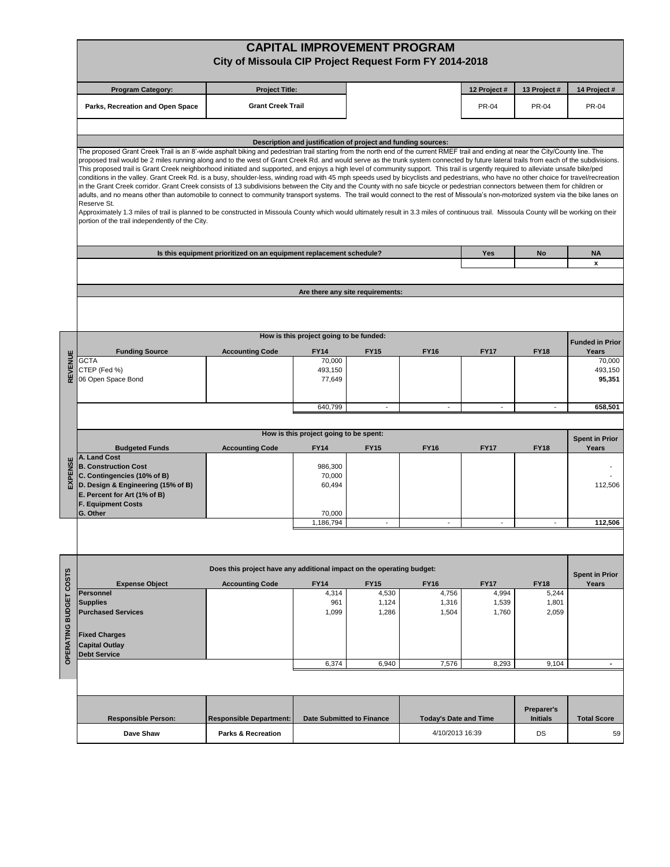|                     |                                                                                                                                                                                                                                                                                                                                                                                                                                                                                                                                                                                                                                                                                                                                                                                                                                                                                                                                                                                                                                                                                                                                                                                                                                                                                                                                                                                                        | City of Missoula CIP Project Request Form FY 2014-2018 |                                                       |                                                               | <b>CAPITAL IMPROVEMENT PROGRAM</b> |                          |                          |                                |  |  |  |  |  |
|---------------------|--------------------------------------------------------------------------------------------------------------------------------------------------------------------------------------------------------------------------------------------------------------------------------------------------------------------------------------------------------------------------------------------------------------------------------------------------------------------------------------------------------------------------------------------------------------------------------------------------------------------------------------------------------------------------------------------------------------------------------------------------------------------------------------------------------------------------------------------------------------------------------------------------------------------------------------------------------------------------------------------------------------------------------------------------------------------------------------------------------------------------------------------------------------------------------------------------------------------------------------------------------------------------------------------------------------------------------------------------------------------------------------------------------|--------------------------------------------------------|-------------------------------------------------------|---------------------------------------------------------------|------------------------------------|--------------------------|--------------------------|--------------------------------|--|--|--|--|--|
|                     | <b>Program Category:</b>                                                                                                                                                                                                                                                                                                                                                                                                                                                                                                                                                                                                                                                                                                                                                                                                                                                                                                                                                                                                                                                                                                                                                                                                                                                                                                                                                                               | <b>Project Title:</b>                                  |                                                       |                                                               | 12 Project #                       | 13 Project#              | 14 Project #             |                                |  |  |  |  |  |
|                     | Parks, Recreation and Open Space                                                                                                                                                                                                                                                                                                                                                                                                                                                                                                                                                                                                                                                                                                                                                                                                                                                                                                                                                                                                                                                                                                                                                                                                                                                                                                                                                                       | <b>Grant Creek Trail</b>                               |                                                       |                                                               |                                    | <b>PR-04</b>             | <b>PR-04</b>             | <b>PR-04</b>                   |  |  |  |  |  |
|                     |                                                                                                                                                                                                                                                                                                                                                                                                                                                                                                                                                                                                                                                                                                                                                                                                                                                                                                                                                                                                                                                                                                                                                                                                                                                                                                                                                                                                        |                                                        |                                                       | Description and justification of project and funding sources: |                                    |                          |                          |                                |  |  |  |  |  |
|                     | The proposed Grant Creek Trail is an 8'-wide asphalt biking and pedestrian trail starting from the north end of the current RMEF trail and ending at near the City/County line. The<br>proposed trail would be 2 miles running along and to the west of Grant Creek Rd. and would serve as the trunk system connected by future lateral trails from each of the subdivisions.<br>This proposed trail is Grant Creek neighborhood initiated and supported, and enjoys a high level of community support. This trail is urgently required to alleviate unsafe bike/ped<br>conditions in the valley. Grant Creek Rd. is a busy, shoulder-less, winding road with 45 mph speeds used by bicyclists and pedestrians, who have no other choice for travel/recreation<br>in the Grant Creek corridor. Grant Creek consists of 13 subdivisions between the City and the County with no safe bicycle or pedestrian connectors between them for children or<br>adults, and no means other than automobile to connect to community transport systems. The trail would connect to the rest of Missoula's non-motorized system via the bike lanes on<br>Reserve St.<br>Approximately 1.3 miles of trail is planned to be constructed in Missoula County which would ultimately result in 3.3 miles of continuous trail. Missoula County will be working on their<br>portion of the trail independently of the City. |                                                        |                                                       |                                                               |                                    |                          |                          |                                |  |  |  |  |  |
|                     | Is this equipment prioritized on an equipment replacement schedule?                                                                                                                                                                                                                                                                                                                                                                                                                                                                                                                                                                                                                                                                                                                                                                                                                                                                                                                                                                                                                                                                                                                                                                                                                                                                                                                                    | Yes                                                    | No                                                    | <b>NA</b><br>$\pmb{\chi}$                                     |                                    |                          |                          |                                |  |  |  |  |  |
|                     | Are there any site requirements:                                                                                                                                                                                                                                                                                                                                                                                                                                                                                                                                                                                                                                                                                                                                                                                                                                                                                                                                                                                                                                                                                                                                                                                                                                                                                                                                                                       |                                                        |                                                       |                                                               |                                    |                          |                          |                                |  |  |  |  |  |
|                     |                                                                                                                                                                                                                                                                                                                                                                                                                                                                                                                                                                                                                                                                                                                                                                                                                                                                                                                                                                                                                                                                                                                                                                                                                                                                                                                                                                                                        |                                                        |                                                       |                                                               |                                    |                          |                          |                                |  |  |  |  |  |
|                     |                                                                                                                                                                                                                                                                                                                                                                                                                                                                                                                                                                                                                                                                                                                                                                                                                                                                                                                                                                                                                                                                                                                                                                                                                                                                                                                                                                                                        |                                                        | How is this project going to be funded:               |                                                               |                                    |                          |                          | <b>Funded in Prior</b>         |  |  |  |  |  |
|                     | <b>Funding Source</b><br><b>GCTA</b>                                                                                                                                                                                                                                                                                                                                                                                                                                                                                                                                                                                                                                                                                                                                                                                                                                                                                                                                                                                                                                                                                                                                                                                                                                                                                                                                                                   | <b>Accounting Code</b>                                 | <b>FY14</b><br>70,000                                 | <b>FY15</b>                                                   | <b>FY16</b>                        | <b>FY17</b>              | <b>FY18</b>              | Years<br>70,000                |  |  |  |  |  |
| EVENUE<br>$\alpha$  | CTEP (Fed %)<br>06 Open Space Bond                                                                                                                                                                                                                                                                                                                                                                                                                                                                                                                                                                                                                                                                                                                                                                                                                                                                                                                                                                                                                                                                                                                                                                                                                                                                                                                                                                     |                                                        | 493,150<br>77,649                                     |                                                               |                                    |                          |                          | 493,150<br>95,351              |  |  |  |  |  |
|                     |                                                                                                                                                                                                                                                                                                                                                                                                                                                                                                                                                                                                                                                                                                                                                                                                                                                                                                                                                                                                                                                                                                                                                                                                                                                                                                                                                                                                        |                                                        | 640,799                                               | $\blacksquare$                                                | $\blacksquare$                     | $\overline{\phantom{a}}$ | $\sim$                   | 658,501                        |  |  |  |  |  |
|                     |                                                                                                                                                                                                                                                                                                                                                                                                                                                                                                                                                                                                                                                                                                                                                                                                                                                                                                                                                                                                                                                                                                                                                                                                                                                                                                                                                                                                        |                                                        |                                                       |                                                               |                                    |                          |                          |                                |  |  |  |  |  |
|                     | <b>Budgeted Funds</b>                                                                                                                                                                                                                                                                                                                                                                                                                                                                                                                                                                                                                                                                                                                                                                                                                                                                                                                                                                                                                                                                                                                                                                                                                                                                                                                                                                                  | <b>Accounting Code</b>                                 | How is this project going to be spent:<br><b>FY14</b> | <b>FY15</b>                                                   | <b>FY16</b>                        | <b>FY17</b>              | <b>FY18</b>              | <b>Spent in Prior</b><br>Years |  |  |  |  |  |
| <b>EXPENS</b>       | A. Land Cost<br><b>B. Construction Cost</b><br>C. Contingencies (10% of B)<br>D. Design & Engineering (15% of B)<br>E. Percent for Art (1% of B)<br><b>F. Equipment Costs</b><br>G. Other                                                                                                                                                                                                                                                                                                                                                                                                                                                                                                                                                                                                                                                                                                                                                                                                                                                                                                                                                                                                                                                                                                                                                                                                              |                                                        | 986,300<br>70,000<br>60,494<br>70,000                 |                                                               |                                    |                          |                          | 112,506                        |  |  |  |  |  |
|                     |                                                                                                                                                                                                                                                                                                                                                                                                                                                                                                                                                                                                                                                                                                                                                                                                                                                                                                                                                                                                                                                                                                                                                                                                                                                                                                                                                                                                        |                                                        | 1,186,794                                             |                                                               |                                    | $\blacksquare$           | $\overline{\phantom{a}}$ | 112,506                        |  |  |  |  |  |
|                     |                                                                                                                                                                                                                                                                                                                                                                                                                                                                                                                                                                                                                                                                                                                                                                                                                                                                                                                                                                                                                                                                                                                                                                                                                                                                                                                                                                                                        |                                                        |                                                       |                                                               |                                    |                          |                          |                                |  |  |  |  |  |
|                     | Does this project have any additional impact on the operating budget:<br><b>Spent in Prior</b>                                                                                                                                                                                                                                                                                                                                                                                                                                                                                                                                                                                                                                                                                                                                                                                                                                                                                                                                                                                                                                                                                                                                                                                                                                                                                                         |                                                        |                                                       |                                                               |                                    |                          |                          |                                |  |  |  |  |  |
|                     | <b>Expense Object</b><br>Personnel                                                                                                                                                                                                                                                                                                                                                                                                                                                                                                                                                                                                                                                                                                                                                                                                                                                                                                                                                                                                                                                                                                                                                                                                                                                                                                                                                                     | <b>Accounting Code</b>                                 | <b>FY14</b><br>4,314                                  | <b>FY15</b><br>4,530                                          | <b>FY16</b><br>4,756               | <b>FY17</b><br>4,994     | <b>FY18</b><br>5,244     | Years                          |  |  |  |  |  |
| <b>BUDGET COSTS</b> | <b>Supplies</b><br><b>Purchased Services</b>                                                                                                                                                                                                                                                                                                                                                                                                                                                                                                                                                                                                                                                                                                                                                                                                                                                                                                                                                                                                                                                                                                                                                                                                                                                                                                                                                           |                                                        | 961<br>1,099                                          | 1,124<br>1,286                                                | 1,316<br>1,504                     | 1,539<br>1,760           | 1,801<br>2,059           |                                |  |  |  |  |  |
| <b>OPERATING</b>    | <b>Fixed Charges</b><br><b>Capital Outlay</b><br><b>Debt Service</b>                                                                                                                                                                                                                                                                                                                                                                                                                                                                                                                                                                                                                                                                                                                                                                                                                                                                                                                                                                                                                                                                                                                                                                                                                                                                                                                                   |                                                        | 6,374                                                 | 6,940                                                         | 7,576                              | 8,293                    | 9,104                    | $\blacksquare$                 |  |  |  |  |  |
|                     |                                                                                                                                                                                                                                                                                                                                                                                                                                                                                                                                                                                                                                                                                                                                                                                                                                                                                                                                                                                                                                                                                                                                                                                                                                                                                                                                                                                                        |                                                        |                                                       |                                                               |                                    |                          |                          |                                |  |  |  |  |  |
|                     |                                                                                                                                                                                                                                                                                                                                                                                                                                                                                                                                                                                                                                                                                                                                                                                                                                                                                                                                                                                                                                                                                                                                                                                                                                                                                                                                                                                                        |                                                        |                                                       |                                                               |                                    |                          | Preparer's               |                                |  |  |  |  |  |
|                     | <b>Responsible Person:</b>                                                                                                                                                                                                                                                                                                                                                                                                                                                                                                                                                                                                                                                                                                                                                                                                                                                                                                                                                                                                                                                                                                                                                                                                                                                                                                                                                                             | <b>Responsible Department:</b>                         | <b>Date Submitted to Finance</b>                      |                                                               | <b>Today's Date and Time</b>       |                          | <b>Initials</b>          | <b>Total Score</b>             |  |  |  |  |  |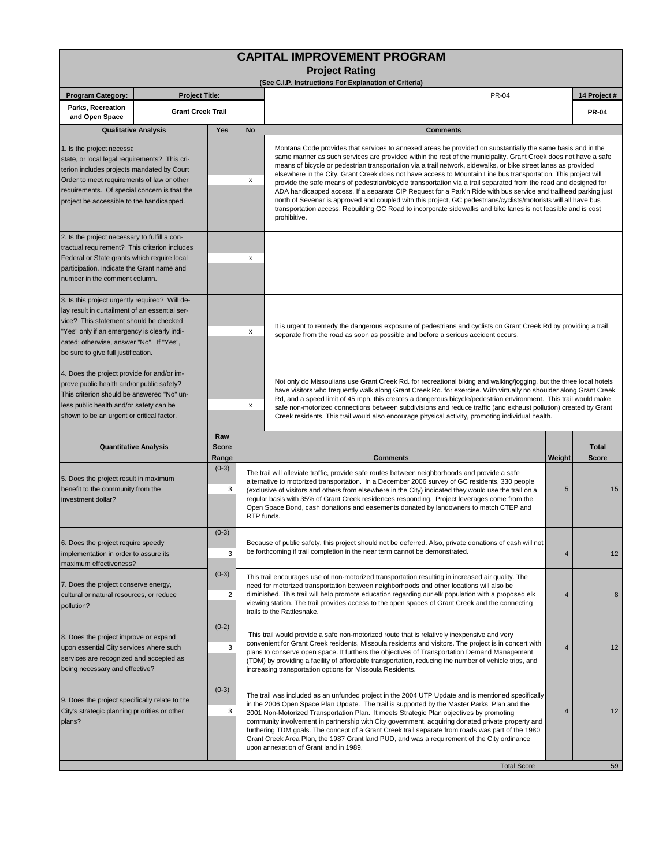| <b>CAPITAL IMPROVEMENT PROGRAM</b><br><b>Project Rating</b><br>(See C.I.P. Instructions For Explanation of Criteria)                                                                                                                                                           |                       |                              |   |                                                                                                                                                                                                                                                                                                                                                                                                                                                                                                                                                                                                                                                                                                                                                                                                                                                                                                                                                               |              |                              |  |  |  |
|--------------------------------------------------------------------------------------------------------------------------------------------------------------------------------------------------------------------------------------------------------------------------------|-----------------------|------------------------------|---|---------------------------------------------------------------------------------------------------------------------------------------------------------------------------------------------------------------------------------------------------------------------------------------------------------------------------------------------------------------------------------------------------------------------------------------------------------------------------------------------------------------------------------------------------------------------------------------------------------------------------------------------------------------------------------------------------------------------------------------------------------------------------------------------------------------------------------------------------------------------------------------------------------------------------------------------------------------|--------------|------------------------------|--|--|--|
| <b>Program Category:</b>                                                                                                                                                                                                                                                       | <b>Project Title:</b> |                              |   | PR-04                                                                                                                                                                                                                                                                                                                                                                                                                                                                                                                                                                                                                                                                                                                                                                                                                                                                                                                                                         |              | 14 Project #                 |  |  |  |
| Parks, Recreation<br><b>Grant Creek Trail</b><br>and Open Space<br>Yes<br><b>Qualitative Analysis</b>                                                                                                                                                                          |                       |                              |   |                                                                                                                                                                                                                                                                                                                                                                                                                                                                                                                                                                                                                                                                                                                                                                                                                                                                                                                                                               | <b>PR-04</b> |                              |  |  |  |
|                                                                                                                                                                                                                                                                                |                       | <b>No</b>                    |   | <b>Comments</b>                                                                                                                                                                                                                                                                                                                                                                                                                                                                                                                                                                                                                                                                                                                                                                                                                                                                                                                                               |              |                              |  |  |  |
| 1. Is the project necessa<br>state, or local legal requirements? This cri-<br>terion includes projects mandated by Court<br>Order to meet requirements of law or other<br>requirements. Of special concern is that the<br>project be accessible to the handicapped.            |                       |                              | x | Montana Code provides that services to annexed areas be provided on substantially the same basis and in the<br>same manner as such services are provided within the rest of the municipality. Grant Creek does not have a safe<br>means of bicycle or pedestrian transportation via a trail network, sidewalks, or bike street lanes as provided<br>elsewhere in the City. Grant Creek does not have access to Mountain Line bus transportation. This project will<br>provide the safe means of pedestrian/bicycle transportation via a trail separated from the road and designed for<br>ADA handicapped access. If a separate CIP Request for a Park'n Ride with bus service and trailhead parking just<br>north of Sevenar is approved and coupled with this project, GC pedestrians/cyclists/motorists will all have bus<br>transportation access. Rebuilding GC Road to incorporate sidewalks and bike lanes is not feasible and is cost<br>prohibitive. |              |                              |  |  |  |
| 2. Is the project necessary to fulfill a con-<br>tractual requirement? This criterion includes<br>Federal or State grants which require local<br>participation. Indicate the Grant name and<br>number in the comment column.<br>3. Is this project urgently required? Will de- |                       |                              | X |                                                                                                                                                                                                                                                                                                                                                                                                                                                                                                                                                                                                                                                                                                                                                                                                                                                                                                                                                               |              |                              |  |  |  |
| lay result in curtailment of an essential ser-<br>vice? This statement should be checked<br>"Yes" only if an emergency is clearly indi-<br>cated; otherwise, answer "No". If "Yes",<br>be sure to give full justification.                                                     |                       |                              | х | It is urgent to remedy the dangerous exposure of pedestrians and cyclists on Grant Creek Rd by providing a trail<br>separate from the road as soon as possible and before a serious accident occurs.                                                                                                                                                                                                                                                                                                                                                                                                                                                                                                                                                                                                                                                                                                                                                          |              |                              |  |  |  |
| 4. Does the project provide for and/or im-<br>prove public health and/or public safety?<br>This criterion should be answered "No" un-<br>less public health and/or safety can be<br>shown to be an urgent or critical factor.                                                  |                       |                              | х | Not only do Missoulians use Grant Creek Rd. for recreational biking and walking/jogging, but the three local hotels<br>have visitors who frequently walk along Grant Creek Rd. for exercise. With virtually no shoulder along Grant Creek<br>Rd, and a speed limit of 45 mph, this creates a dangerous bicycle/pedestrian environment. This trail would make<br>safe non-motorized connections between subdivisions and reduce traffic (and exhaust pollution) created by Grant<br>Creek residents. This trail would also encourage physical activity, promoting individual health.                                                                                                                                                                                                                                                                                                                                                                           |              |                              |  |  |  |
| <b>Quantitative Analysis</b>                                                                                                                                                                                                                                                   |                       | Raw<br><b>Score</b><br>Range |   | <b>Comments</b>                                                                                                                                                                                                                                                                                                                                                                                                                                                                                                                                                                                                                                                                                                                                                                                                                                                                                                                                               | Weight       | <b>Total</b><br><b>Score</b> |  |  |  |
| 5. Does the project result in maximum<br>benefit to the community from the<br>investment dollar?                                                                                                                                                                               |                       | $(0-3)$<br>3                 |   | The trail will alleviate traffic, provide safe routes between neighborhoods and provide a safe<br>alternative to motorized transportation. In a December 2006 survey of GC residents, 330 people<br>5<br>(exclusive of visitors and others from elsewhere in the City) indicated they would use the trail on a<br>regular basis with 35% of Grant Creek residences responding. Project leverages come from the<br>Open Space Bond, cash donations and easements donated by landowners to match CTEP and<br>RTP funds.                                                                                                                                                                                                                                                                                                                                                                                                                                         |              |                              |  |  |  |
| 6. Does the project require speedy<br>implementation in order to assure its<br>maximum effectiveness?                                                                                                                                                                          |                       | $(0-3)$<br>3                 |   | Because of public safety, this project should not be deferred. Also, private donations of cash will not<br>be forthcoming if trail completion in the near term cannot be demonstrated.                                                                                                                                                                                                                                                                                                                                                                                                                                                                                                                                                                                                                                                                                                                                                                        |              |                              |  |  |  |
| 7. Does the project conserve energy,<br>cultural or natural resources, or reduce<br>pollution?                                                                                                                                                                                 |                       | $(0-3)$<br>2                 |   | This trail encourages use of non-motorized transportation resulting in increased air quality. The<br>need for motorized transportation between neighborhoods and other locations will also be<br>diminished. This trail will help promote education regarding our elk population with a proposed elk<br>viewing station. The trail provides access to the open spaces of Grant Creek and the connecting<br>trails to the Rattlesnake.                                                                                                                                                                                                                                                                                                                                                                                                                                                                                                                         | 4            | 8                            |  |  |  |
| 8. Does the project improve or expand<br>upon essential City services where such<br>services are recognized and accepted as<br>being necessary and effective?                                                                                                                  |                       | $(0-2)$<br>3                 |   | This trail would provide a safe non-motorized route that is relatively inexpensive and very<br>convenient for Grant Creek residents, Missoula residents and visitors. The project is in concert with<br>plans to conserve open space. It furthers the objectives of Transportation Demand Management<br>(TDM) by providing a facility of affordable transportation, reducing the number of vehicle trips, and<br>increasing transportation options for Missoula Residents.                                                                                                                                                                                                                                                                                                                                                                                                                                                                                    | 4            | 12                           |  |  |  |
| 9. Does the project specifically relate to the<br>City's strategic planning priorities or other<br>plans?                                                                                                                                                                      |                       | $(0-3)$<br>3                 |   | The trail was included as an unfunded project in the 2004 UTP Update and is mentioned specifically<br>in the 2006 Open Space Plan Update. The trail is supported by the Master Parks Plan and the<br>2001 Non-Motorized Transportation Plan. It meets Strategic Plan objectives by promoting<br>community involvement in partnership with City government, acquiring donated private property and<br>furthering TDM goals. The concept of a Grant Creek trail separate from roads was part of the 1980<br>Grant Creek Area Plan, the 1987 Grant land PUD, and was a requirement of the City ordinance<br>upon annexation of Grant land in 1989.                                                                                                                                                                                                                                                                                                               | 4            | 12                           |  |  |  |
|                                                                                                                                                                                                                                                                                |                       |                              |   | <b>Total Score</b>                                                                                                                                                                                                                                                                                                                                                                                                                                                                                                                                                                                                                                                                                                                                                                                                                                                                                                                                            |              | 59                           |  |  |  |